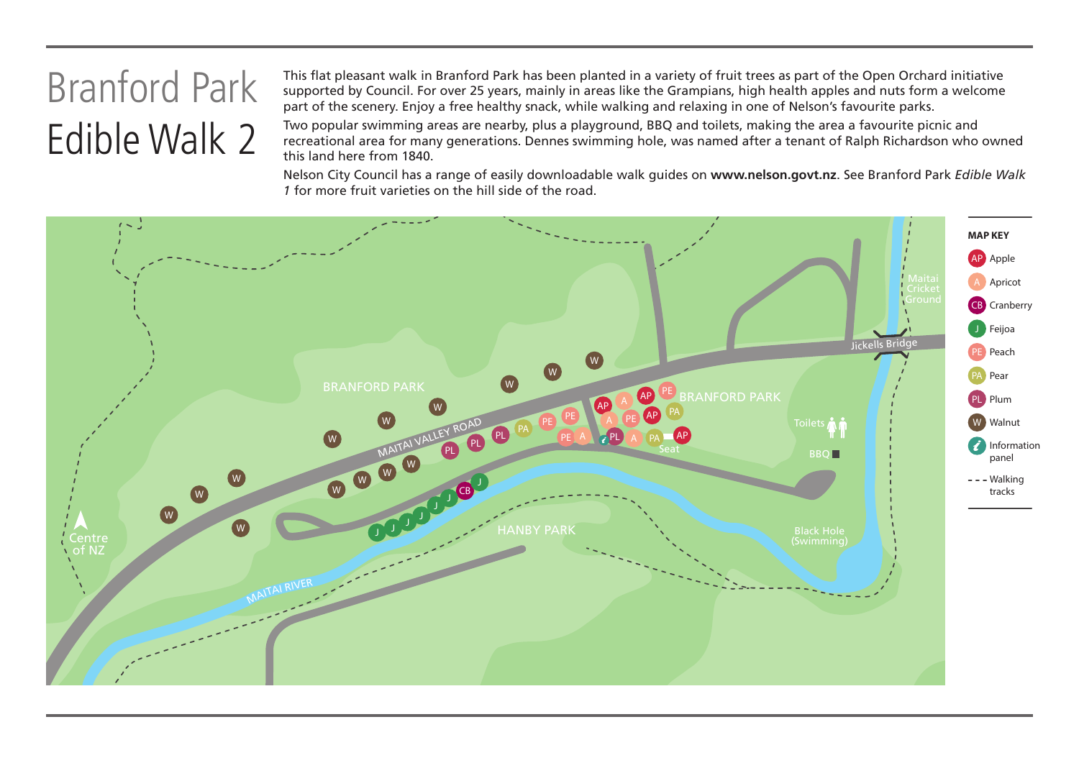## Branford Park Edible Walk 2

This flat pleasant walk in Branford Park has been planted in a variety of fruit trees as part of the Open Orchard initiative supported by Council. For over 25 years, mainly in areas like the Grampians, high health apples and nuts form a welcome part of the scenery. Enjoy a free healthy snack, while walking and relaxing in one of Nelson's favourite parks.

Two popular swimming areas are nearby, plus a playground, BBQ and toilets, making the area a favourite picnic and recreational area for many generations. Dennes swimming hole, was named after a tenant of Ralph Richardson who owned this land here from 1840.

Nelson City Council has a range of easily downloadable walk guides on **www.nelson.govt.nz**. See Branford Park *Edible Walk 1* for more fruit varieties on the hill side of the road.